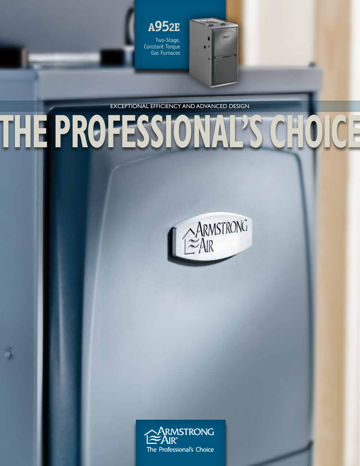Two-Stage, Constant Torque Gas Furnaces **A952E**

EXCEPTIONAL EFFICIENCY AND ADVANCED DESIGN

**THE PROFESSIONAL'S CHOICE**

ARMSTRONG

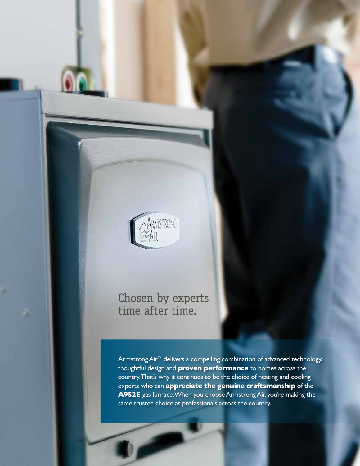

# Chosen by experts time after time.

Armstrong Air™ delivers a compelling combination of advanced technology, thoughtful design and **proven performance** to homes across the country. That's why it continues to be the choice of heating and cooling experts who can **appreciate the genuine craftsmanship** of the **A952E** gas furnace. When you choose Armstrong Air, you're making the same trusted choice as professionals across the country.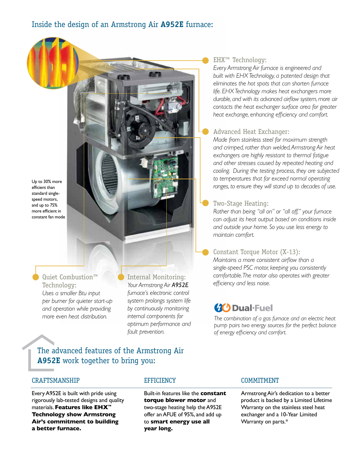Up to 30% more efficient than standard singlespeed motors, and up to 75% more efficient in constant fan mode

> Quiet Combustion™ Technology: *Uses a smaller Btu input per burner for quieter start-up and operation while providing more even heat distribution.*

Internal Monitoring: *Your Armstrong Air A952E furnace's electronic control system prolongs system life by continuously monitoring internal components for optimum performance and fault prevention.*

### EHX™ Technology:

*Every Armstrong Air furnace is engineered and built with EHX Technology, a patented design that eliminates the hot spots that can shorten furnace life. EHX Technology makes heat exchangers more durable, and with its advanced airflow system, more air contacts the heat exchanger surface area for greater heat exchange, enhancing efficiency and comfort.*

### Advanced Heat Exchanger:

*Made from stainless steel for maximum strength and crimped, rather than welded, Armstrong Air heat exchangers are highly resistant to thermal fatigue and other stresses caused by repeated heating and cooling. During the testing process, they are subjected to temperatures that far exceed normal operating ranges, to ensure they will stand up to decades of use.*

### Two-Stage Heating:

*Rather than being "all on" or "all off," your furnace can adjust its heat output based on conditions inside and outside your home. So you use less energy to maintain comfort.*

### Constant Torque Motor (X-13):

*Maintains a more consistent airflow than a single-speed PSC motor, keeping you consistently comfortable. The motor also operates with greater efficiency and less noise.*

## **(X)** Dual-Fuel

*The combination of a gas furnace and an electric heat pump pairs two energy sources for the perfect balance of energy efficiency and comfort.*

The advanced features of the Armstrong Air **A952E** work together to bring you:

#### CRAFTSMANSHIP

Every A952E is built with pride using rigorously lab-tested designs and quality materials. **Features like EHX™ Technology show Armstrong Air's commitment to building a better furnace.**

### **EFFICIENCY**

Built-in features like the **constant torque blower motor** and two-stage heating help the A952E offer an AFUE of 95%, and add up to **smart energy use all year long.**

#### COMMITMENT

Armstrong Air's dedication to a better product is backed by a Limited Lifetime Warranty on the stainless steel heat exchanger and a 10-Year Limited Warranty on parts.\*